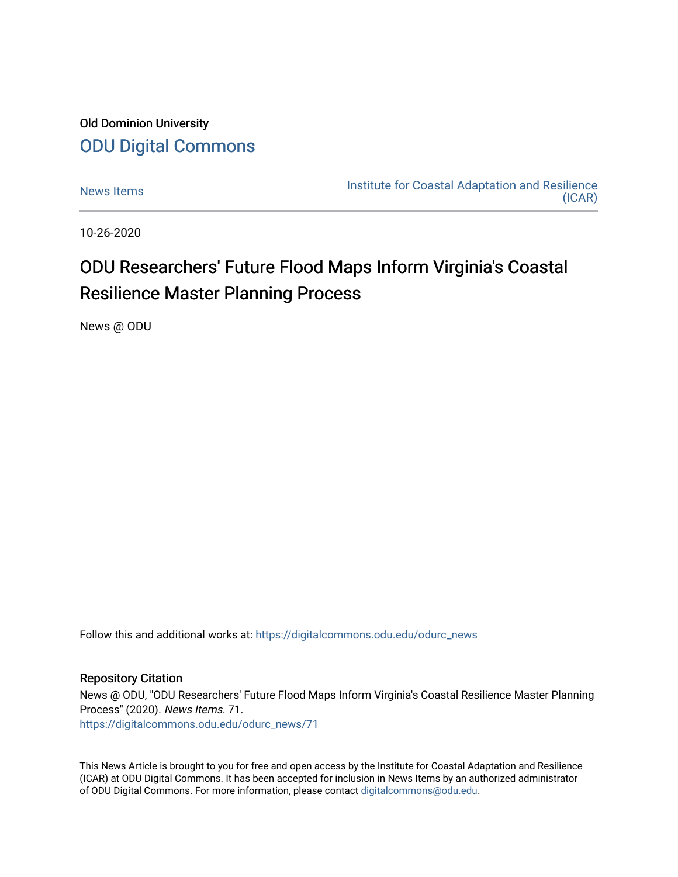## Old Dominion University [ODU Digital Commons](https://digitalcommons.odu.edu/)

[News Items](https://digitalcommons.odu.edu/odurc_news) **Institute for Coastal Adaptation and Resilience** [\(ICAR\)](https://digitalcommons.odu.edu/odurc) 

10-26-2020

## ODU Researchers' Future Flood Maps Inform Virginia's Coastal Resilience Master Planning Process

News @ ODU

Follow this and additional works at: [https://digitalcommons.odu.edu/odurc\\_news](https://digitalcommons.odu.edu/odurc_news?utm_source=digitalcommons.odu.edu%2Fodurc_news%2F71&utm_medium=PDF&utm_campaign=PDFCoverPages)

## Repository Citation

News @ ODU, "ODU Researchers' Future Flood Maps Inform Virginia's Coastal Resilience Master Planning Process" (2020). News Items. 71. [https://digitalcommons.odu.edu/odurc\\_news/71](https://digitalcommons.odu.edu/odurc_news/71?utm_source=digitalcommons.odu.edu%2Fodurc_news%2F71&utm_medium=PDF&utm_campaign=PDFCoverPages) 

This News Article is brought to you for free and open access by the Institute for Coastal Adaptation and Resilience (ICAR) at ODU Digital Commons. It has been accepted for inclusion in News Items by an authorized administrator of ODU Digital Commons. For more information, please contact [digitalcommons@odu.edu](mailto:digitalcommons@odu.edu).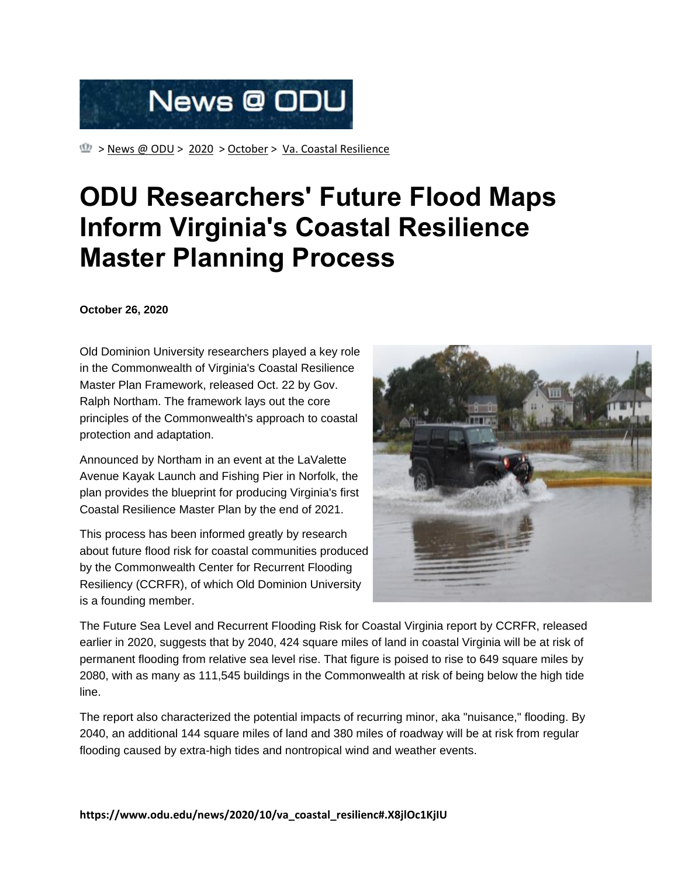

 $\mathbb{Q}$  > News  $\varnothing$  ODU > [2020](https://www.odu.edu/news/2020) > [October](https://www.odu.edu/news/2020/10) > [Va. Coastal Resilience](https://www.odu.edu/news/2020/10/va_coastal_resilienc)

## **ODU Researchers' Future Flood Maps Inform Virginia's Coastal Resilience Master Planning Process**

**October 26, 2020**

Old Dominion University researchers played a key role in the Commonwealth of Virginia's Coastal Resilience Master Plan Framework, released Oct. 22 by Gov. Ralph Northam. The framework lays out the core principles of the Commonwealth's approach to coastal protection and adaptation.

Announced by Northam in an event at the LaValette Avenue Kayak Launch and Fishing Pier in Norfolk, the plan provides the blueprint for producing Virginia's first Coastal Resilience Master Plan by the end of 2021.

This process has been informed greatly by research about future flood risk for coastal communities produced by the Commonwealth Center for Recurrent Flooding Resiliency (CCRFR), of which Old Dominion University is a founding member.



The Future Sea Level and Recurrent Flooding Risk for Coastal Virginia report by CCRFR, released earlier in 2020, suggests that by 2040, 424 square miles of land in coastal Virginia will be at risk of permanent flooding from relative sea level rise. That figure is poised to rise to 649 square miles by 2080, with as many as 111,545 buildings in the Commonwealth at risk of being below the high tide line.

The report also characterized the potential impacts of recurring minor, aka "nuisance," flooding. By 2040, an additional 144 square miles of land and 380 miles of roadway will be at risk from regular flooding caused by extra-high tides and nontropical wind and weather events.

**https://www.odu.edu/news/2020/10/va\_coastal\_resilienc#.X8jlOc1KjIU**